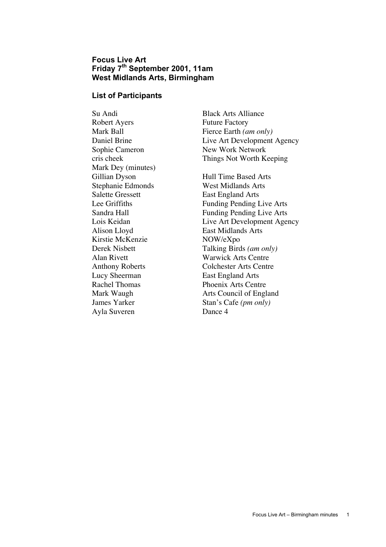# **Focus Live Art Friday 7th September 2001, 11am West Midlands Arts, Birmingham**

### **List of Participants**

Su Andi Black Arts Alliance Robert Ayers Future Factory Mark Dey (minutes) Gillian Dyson Hull Time Based Arts Stephanie Edmonds<br>
Salette Gressett<br>
East England Arts Alison Lloyd East Midlands Arts Kirstie McKenzie NOW/eXpo Lucy Sheerman East England Arts Ayla Suveren Dance 4

Mark Ball Fierce Earth *(am only)* Daniel Brine Live Art Development Agency Sophie Cameron New Work Network cris cheek Things Not Worth Keeping

East England Arts Lee Griffiths Funding Pending Live Arts Sandra Hall Funding Pending Live Arts Lois Keidan Live Art Development Agency Derek Nisbett Talking Birds *(am only)* Alan Rivett Warwick Arts Centre Anthony Roberts Colchester Arts Centre Rachel Thomas Phoenix Arts Centre Mark Waugh **Arts Council of England** James Yarker Stan's Cafe *(pm only)*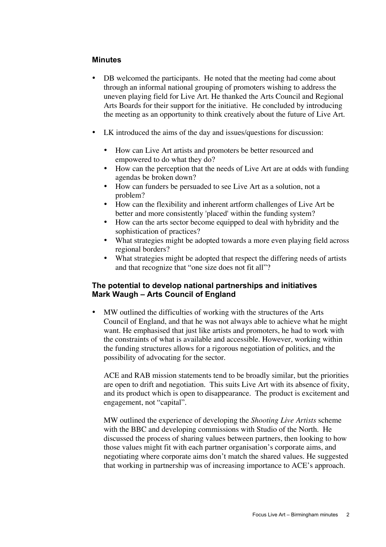### **Minutes**

DB welcomed the participants. He noted that the meeting had come about through an informal national grouping of promoters wishing to address the uneven playing field for Live Art. He thanked the Arts Council and Regional Arts Boards for their support for the initiative. He concluded by introducing the meeting as an opportunity to think creatively about the future of Live Art.

LK introduced the aims of the day and issues/questions for discussion:

How can Live Art artists and promoters be better resourced and empowered to do what they do?

How can the perception that the needs of Live Art are at odds with funding agendas be broken down?

How can funders be persuaded to see Live Art as a solution, not a problem?

How can the flexibility and inherent artform challenges of Live Art be better and more consistently 'placed' within the funding system?

How can the arts sector become equipped to deal with hybridity and the sophistication of practices?

What strategies might be adopted towards a more even playing field across regional borders?

What strategies might be adopted that respect the differing needs of artists and that recognize that "one size does not fit all"?

### **The potential to develop national partnerships and initiatives Mark Waugh – Arts Council of England**

MW outlined the difficulties of working with the structures of the Arts Council of England, and that he was not always able to achieve what he might want. He emphasised that just like artists and promoters, he had to work with the constraints of what is available and accessible. However, working within the funding structures allows for a rigorous negotiation of politics, and the possibility of advocating for the sector.

ACE and RAB mission statements tend to be broadly similar, but the priorities are open to drift and negotiation. This suits Live Art with its absence of fixity, and its product which is open to disappearance. The product is excitement and engagement, not "capital".

MW outlined the experience of developing the *Shooting Live Artists* scheme with the BBC and developing commissions with Studio of the North. He discussed the process of sharing values between partners, then looking to how those values might fit with each partner organisation's corporate aims, and negotiating where corporate aims don't match the shared values. He suggested that working in partnership was of increasing importance to ACE's approach.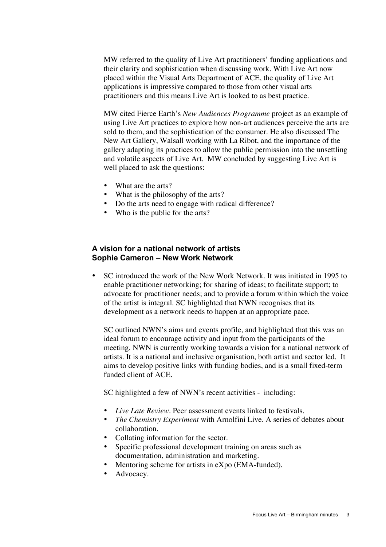MW referred to the quality of Live Art practitioners' funding applications and their clarity and sophistication when discussing work. With Live Art now placed within the Visual Arts Department of ACE, the quality of Live Art applications is impressive compared to those from other visual arts practitioners and this means Live Art is looked to as best practice.

MW cited Fierce Earth's *New Audiences Programme* project as an example of using Live Art practices to explore how non-art audiences perceive the arts are sold to them, and the sophistication of the consumer. He also discussed The New Art Gallery, Walsall working with La Ribot, and the importance of the gallery adapting its practices to allow the public permission into the unsettling and volatile aspects of Live Art. MW concluded by suggesting Live Art is well placed to ask the questions:

What are the arts? What is the philosophy of the arts? Do the arts need to engage with radical difference? Who is the public for the arts?

## **A vision for a national network of artists Sophie Cameron – New Work Network**

SC introduced the work of the New Work Network. It was initiated in 1995 to enable practitioner networking; for sharing of ideas; to facilitate support; to advocate for practitioner needs; and to provide a forum within which the voice of the artist is integral. SC highlighted that NWN recognises that its development as a network needs to happen at an appropriate pace.

SC outlined NWN's aims and events profile, and highlighted that this was an ideal forum to encourage activity and input from the participants of the meeting. NWN is currently working towards a vision for a national network of artists. It is a national and inclusive organisation, both artist and sector led. It aims to develop positive links with funding bodies, and is a small fixed-term funded client of ACE.

SC highlighted a few of NWN's recent activities - including:

*Live Late Review*. Peer assessment events linked to festivals. *The Chemistry Experiment* with Arnolfini Live. A series of debates about collaboration. Collating information for the sector. Specific professional development training on areas such as documentation, administration and marketing. Mentoring scheme for artists in eXpo (EMA-funded). Advocacy.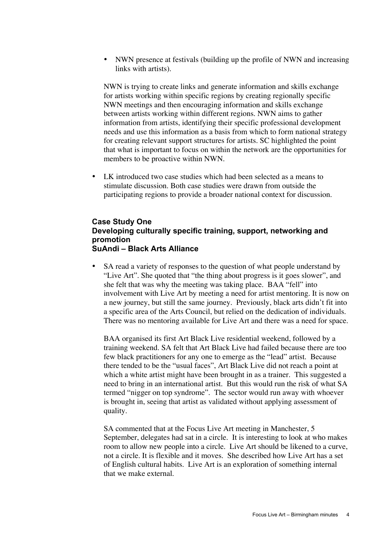NWN presence at festivals (building up the profile of NWN and increasing links with artists).

NWN is trying to create links and generate information and skills exchange for artists working within specific regions by creating regionally specific NWN meetings and then encouraging information and skills exchange between artists working within different regions. NWN aims to gather information from artists, identifying their specific professional development needs and use this information as a basis from which to form national strategy for creating relevant support structures for artists. SC highlighted the point that what is important to focus on within the network are the opportunities for members to be proactive within NWN.

LK introduced two case studies which had been selected as a means to stimulate discussion. Both case studies were drawn from outside the participating regions to provide a broader national context for discussion.

### **Case Study One Developing culturally specific training, support, networking and promotion SuAndi – Black Arts Alliance**

SA read a variety of responses to the question of what people understand by "Live Art". She quoted that "the thing about progress is it goes slower", and she felt that was why the meeting was taking place. BAA "fell" into involvement with Live Art by meeting a need for artist mentoring. It is now on a new journey, but still the same journey. Previously, black arts didn't fit into a specific area of the Arts Council, but relied on the dedication of individuals. There was no mentoring available for Live Art and there was a need for space.

BAA organised its first Art Black Live residential weekend, followed by a training weekend. SA felt that Art Black Live had failed because there are too few black practitioners for any one to emerge as the "lead" artist. Because there tended to be the "usual faces", Art Black Live did not reach a point at which a white artist might have been brought in as a trainer. This suggested a need to bring in an international artist. But this would run the risk of what SA termed "nigger on top syndrome". The sector would run away with whoever is brought in, seeing that artist as validated without applying assessment of quality.

SA commented that at the Focus Live Art meeting in Manchester, 5 September, delegates had sat in a circle. It is interesting to look at who makes room to allow new people into a circle. Live Art should be likened to a curve, not a circle. It is flexible and it moves. She described how Live Art has a set of English cultural habits. Live Art is an exploration of something internal that we make external.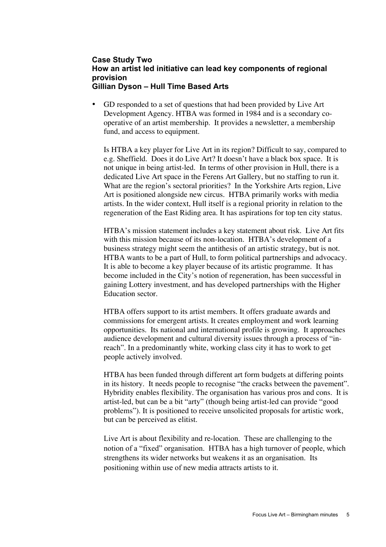## **Case Study Two How an artist led initiative can lead key components of regional provision Gillian Dyson – Hull Time Based Arts**

GD responded to a set of questions that had been provided by Live Art Development Agency. HTBA was formed in 1984 and is a secondary cooperative of an artist membership. It provides a newsletter, a membership fund, and access to equipment.

Is HTBA a key player for Live Art in its region? Difficult to say, compared to e.g. Sheffield. Does it do Live Art? It doesn't have a black box space. It is not unique in being artist-led. In terms of other provision in Hull, there is a dedicated Live Art space in the Ferens Art Gallery, but no staffing to run it. What are the region's sectoral priorities? In the Yorkshire Arts region, Live Art is positioned alongside new circus. HTBA primarily works with media artists. In the wider context, Hull itself is a regional priority in relation to the regeneration of the East Riding area. It has aspirations for top ten city status.

HTBA's mission statement includes a key statement about risk. Live Art fits with this mission because of its non-location. HTBA's development of a business strategy might seem the antithesis of an artistic strategy, but is not. HTBA wants to be a part of Hull, to form political partnerships and advocacy. It is able to become a key player because of its artistic programme. It has become included in the City's notion of regeneration, has been successful in gaining Lottery investment, and has developed partnerships with the Higher Education sector.

HTBA offers support to its artist members. It offers graduate awards and commissions for emergent artists. It creates employment and work learning opportunities. Its national and international profile is growing. It approaches audience development and cultural diversity issues through a process of "inreach". In a predominantly white, working class city it has to work to get people actively involved.

HTBA has been funded through different art form budgets at differing points in its history. It needs people to recognise "the cracks between the pavement". Hybridity enables flexibility. The organisation has various pros and cons. It is artist-led, but can be a bit "arty" (though being artist-led can provide "good problems"). It is positioned to receive unsolicited proposals for artistic work, but can be perceived as elitist.

Live Art is about flexibility and re-location. These are challenging to the notion of a "fixed" organisation. HTBA has a high turnover of people, which strengthens its wider networks but weakens it as an organisation. Its positioning within use of new media attracts artists to it.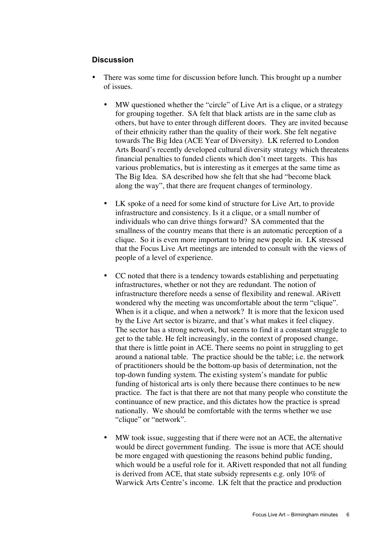#### **Discussion**

There was some time for discussion before lunch. This brought up a number of issues.

MW questioned whether the "circle" of Live Art is a clique, or a strategy for grouping together. SA felt that black artists are in the same club as others, but have to enter through different doors. They are invited because of their ethnicity rather than the quality of their work. She felt negative towards The Big Idea (ACE Year of Diversity). LK referred to London Arts Board's recently developed cultural diversity strategy which threatens financial penalties to funded clients which don't meet targets. This has various problematics, but is interesting as it emerges at the same time as The Big Idea. SA described how she felt that she had "become black along the way", that there are frequent changes of terminology.

LK spoke of a need for some kind of structure for Live Art, to provide infrastructure and consistency. Is it a clique, or a small number of individuals who can drive things forward? SA commented that the smallness of the country means that there is an automatic perception of a clique. So it is even more important to bring new people in. LK stressed that the Focus Live Art meetings are intended to consult with the views of people of a level of experience.

CC noted that there is a tendency towards establishing and perpetuating infrastructures, whether or not they are redundant. The notion of infrastructure therefore needs a sense of flexibility and renewal. ARivett wondered why the meeting was uncomfortable about the term "clique". When is it a clique, and when a network? It is more that the lexicon used by the Live Art sector is bizarre, and that's what makes it feel cliquey. The sector has a strong network, but seems to find it a constant struggle to get to the table. He felt increasingly, in the context of proposed change, that there is little point in ACE. There seems no point in struggling to get around a national table. The practice should be the table; i.e. the network of practitioners should be the bottom-up basis of determination, not the top-down funding system. The existing system's mandate for public funding of historical arts is only there because there continues to be new practice. The fact is that there are not that many people who constitute the continuance of new practice, and this dictates how the practice is spread nationally. We should be comfortable with the terms whether we use "clique" or "network".

MW took issue, suggesting that if there were not an ACE, the alternative would be direct government funding. The issue is more that ACE should be more engaged with questioning the reasons behind public funding, which would be a useful role for it. ARivett responded that not all funding is derived from ACE, that state subsidy represents e.g. only 10% of Warwick Arts Centre's income. LK felt that the practice and production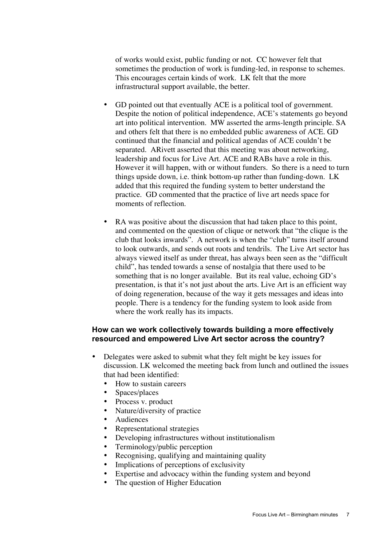of works would exist, public funding or not. CC however felt that sometimes the production of work is funding-led, in response to schemes. This encourages certain kinds of work. LK felt that the more infrastructural support available, the better.

GD pointed out that eventually ACE is a political tool of government. Despite the notion of political independence, ACE's statements go beyond art into political intervention. MW asserted the arms-length principle. SA and others felt that there is no embedded public awareness of ACE. GD continued that the financial and political agendas of ACE couldn't be separated. ARivett asserted that this meeting was about networking, leadership and focus for Live Art. ACE and RABs have a role in this. However it will happen, with or without funders. So there is a need to turn things upside down, i.e. think bottom-up rather than funding-down. LK added that this required the funding system to better understand the practice. GD commented that the practice of live art needs space for moments of reflection.

RA was positive about the discussion that had taken place to this point, and commented on the question of clique or network that "the clique is the club that looks inwards". A network is when the "club" turns itself around to look outwards, and sends out roots and tendrils. The Live Art sector has always viewed itself as under threat, has always been seen as the "difficult child", has tended towards a sense of nostalgia that there used to be something that is no longer available. But its real value, echoing GD's presentation, is that it's not just about the arts. Live Art is an efficient way of doing regeneration, because of the way it gets messages and ideas into people. There is a tendency for the funding system to look aside from where the work really has its impacts.

### **How can we work collectively towards building a more effectively resourced and empowered Live Art sector across the country?**

Delegates were asked to submit what they felt might be key issues for discussion. LK welcomed the meeting back from lunch and outlined the issues that had been identified:

How to sustain careers Spaces/places Process v. product Nature/diversity of practice Audiences Representational strategies Developing infrastructures without institutionalism Terminology/public perception Recognising, qualifying and maintaining quality Implications of perceptions of exclusivity Expertise and advocacy within the funding system and beyond The question of Higher Education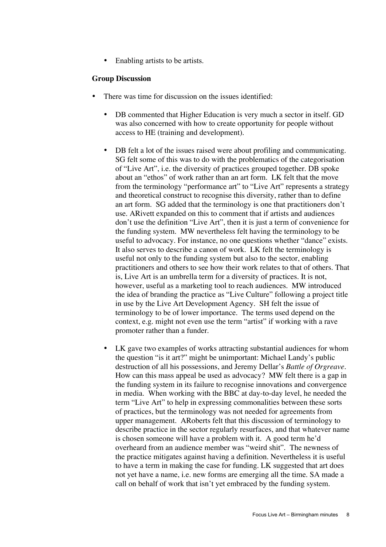Enabling artists to be artists.

#### **Group Discussion**

There was time for discussion on the issues identified:

DB commented that Higher Education is very much a sector in itself. GD was also concerned with how to create opportunity for people without access to HE (training and development).

DB felt a lot of the issues raised were about profiling and communicating. SG felt some of this was to do with the problematics of the categorisation of "Live Art", i.e. the diversity of practices grouped together. DB spoke about an "ethos" of work rather than an art form. LK felt that the move from the terminology "performance art" to "Live Art" represents a strategy and theoretical construct to recognise this diversity, rather than to define an art form. SG added that the terminology is one that practitioners don't use. ARivett expanded on this to comment that if artists and audiences don't use the definition "Live Art", then it is just a term of convenience for the funding system. MW nevertheless felt having the terminology to be useful to advocacy. For instance, no one questions whether "dance" exists. It also serves to describe a canon of work. LK felt the terminology is useful not only to the funding system but also to the sector, enabling practitioners and others to see how their work relates to that of others. That is, Live Art is an umbrella term for a diversity of practices. It is not, however, useful as a marketing tool to reach audiences. MW introduced the idea of branding the practice as "Live Culture" following a project title in use by the Live Art Development Agency. SH felt the issue of terminology to be of lower importance. The terms used depend on the context, e.g. might not even use the term "artist" if working with a rave promoter rather than a funder.

LK gave two examples of works attracting substantial audiences for whom the question "is it art?" might be unimportant: Michael Landy's public destruction of all his possessions, and Jeremy Dellar's *Battle of Orgreave*. How can this mass appeal be used as advocacy? MW felt there is a gap in the funding system in its failure to recognise innovations and convergence in media. When working with the BBC at day-to-day level, he needed the term "Live Art" to help in expressing commonalities between these sorts of practices, but the terminology was not needed for agreements from upper management. ARoberts felt that this discussion of terminology to describe practice in the sector regularly resurfaces, and that whatever name is chosen someone will have a problem with it. A good term he'd overheard from an audience member was "weird shit". The newness of the practice mitigates against having a definition. Nevertheless it is useful to have a term in making the case for funding. LK suggested that art does not yet have a name, i.e. new forms are emerging all the time. SA made a call on behalf of work that isn't yet embraced by the funding system.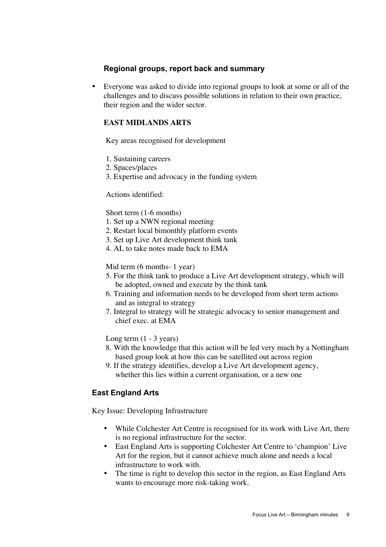# **Regional groups, report back and summary**

Everyone was asked to divide into regional groups to look at some or all of the challenges and to discuss possible solutions in relation to their own practice, their region and the wider sector.

# **EAST MIDLANDS ARTS**

Key areas recognised for development

- 1. Sustaining careers
- 2. Spaces/places
- 3. Expertise and advocacy in the funding system

Actions identified:

Short term (1-6 months)

- 1. Set up a NWN regional meeting
- 2. Restart local bimonthly platform events
- 3. Set up Live Art development think tank
- 4. AL to take notes made back to EMA

Mid term (6 months- 1 year)

- 5. For the think tank to produce a Live Art development strategy, which will be adopted, owned and execute by the think tank
- 6. Training and information needs to be developed from short term actions and as integral to strategy
- 7. Integral to strategy will be strategic advocacy to senior management and chief exec. at EMA

Long term  $(1 - 3$  years)

- 8. With the knowledge that this action will be led very much by a Nottingham based group look at how this can be satellited out across region
- 9. If the strategy identifies, develop a Live Art development agency, whether this lies within a current organisation, or a new one

# **East England Arts**

Key Issue: Developing Infrastructure

While Colchester Art Centre is recognised for its work with Live Art, there is no regional infrastructure for the sector.

East England Arts is supporting Colchester Art Centre to 'champion' Live Art for the region, but it cannot achieve much alone and needs a local infrastructure to work with.

The time is right to develop this sector in the region, as East England Arts wants to encourage more risk-taking work.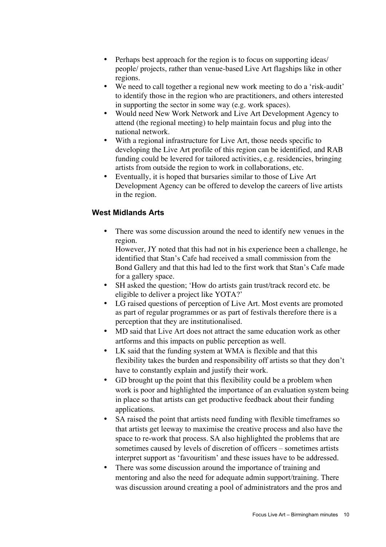Perhaps best approach for the region is to focus on supporting ideas/ people/ projects, rather than venue-based Live Art flagships like in other regions.

We need to call together a regional new work meeting to do a 'risk-audit' to identify those in the region who are practitioners, and others interested in supporting the sector in some way (e.g. work spaces).

Would need New Work Network and Live Art Development Agency to attend (the regional meeting) to help maintain focus and plug into the national network.

With a regional infrastructure for Live Art, those needs specific to developing the Live Art profile of this region can be identified, and RAB funding could be levered for tailored activities, e.g. residencies, bringing artists from outside the region to work in collaborations, etc.

Eventually, it is hoped that bursaries similar to those of Live Art Development Agency can be offered to develop the careers of live artists in the region.

# **West Midlands Arts**

There was some discussion around the need to identify new venues in the region.

However, JY noted that this had not in his experience been a challenge, he identified that Stan's Cafe had received a small commission from the Bond Gallery and that this had led to the first work that Stan's Cafe made for a gallery space.

SH asked the question; 'How do artists gain trust/track record etc. be eligible to deliver a project like YOTA?'

LG raised questions of perception of Live Art. Most events are promoted as part of regular programmes or as part of festivals therefore there is a perception that they are institutionalised.

MD said that Live Art does not attract the same education work as other artforms and this impacts on public perception as well.

LK said that the funding system at WMA is flexible and that this flexibility takes the burden and responsibility off artists so that they don't have to constantly explain and justify their work.

GD brought up the point that this flexibility could be a problem when work is poor and highlighted the importance of an evaluation system being in place so that artists can get productive feedback about their funding applications.

SA raised the point that artists need funding with flexible timeframes so that artists get leeway to maximise the creative process and also have the space to re-work that process. SA also highlighted the problems that are sometimes caused by levels of discretion of officers – sometimes artists interpret support as 'favouritism' and these issues have to be addressed. There was some discussion around the importance of training and mentoring and also the need for adequate admin support/training. There was discussion around creating a pool of administrators and the pros and